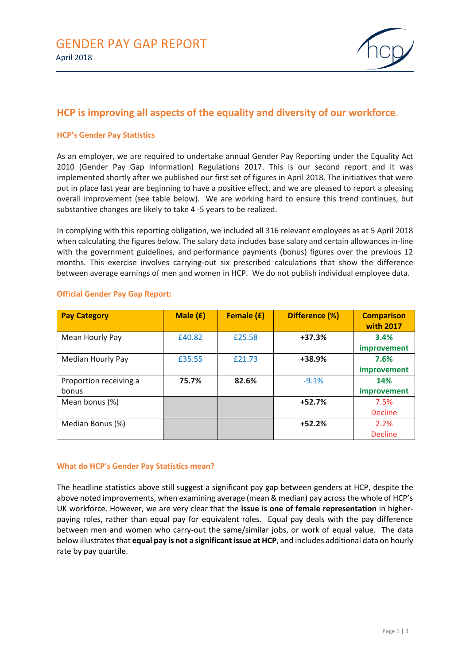

# **HCP is improving all aspects of the equality and diversity of our workforce**.

## **HCP's Gender Pay Statistics**

As an employer, we are required to undertake annual Gender Pay Reporting under the Equality Act 2010 (Gender Pay Gap Information) Regulations 2017. This is our second report and it was implemented shortly after we published our first set of figures in April 2018. The initiatives that were put in place last year are beginning to have a positive effect, and we are pleased to report a pleasing overall improvement (see table below). We are working hard to ensure this trend continues, but substantive changes are likely to take 4 -5 years to be realized.

In complying with this reporting obligation, we included all 316 relevant employees as at 5 April 2018 when calculating the figures below. The salary data includes base salary and certain allowances in-line with the government guidelines, and performance payments (bonus) figures over the previous 12 months. This exercise involves carrying-out six prescribed calculations that show the difference between average earnings of men and women in HCP. We do not publish individual employee data.

| <b>Pay Category</b>    | Male (£) | Female (£) | Difference (%) | <b>Comparison</b><br><b>with 2017</b> |
|------------------------|----------|------------|----------------|---------------------------------------|
| Mean Hourly Pay        | £40.82   | £25.58     | $+37.3%$       | 3.4%                                  |
|                        |          |            |                | improvement                           |
| Median Hourly Pay      | £35.55   | £21.73     | +38.9%         | 7.6%                                  |
|                        |          |            |                | <i>improvement</i>                    |
| Proportion receiving a | 75.7%    | 82.6%      | $-9.1%$        | 14%                                   |
| bonus                  |          |            |                | <i>improvement</i>                    |
| Mean bonus (%)         |          |            | $+52.7%$       | 7.5%                                  |
|                        |          |            |                | <b>Decline</b>                        |
| Median Bonus (%)       |          |            | $+52.2%$       | 2.2%                                  |
|                        |          |            |                | <b>Decline</b>                        |

#### **Official Gender Pay Gap Report:**

#### **What do HCP's Gender Pay Statistics mean?**

The headline statistics above still suggest a significant pay gap between genders at HCP, despite the above noted improvements, when examining average (mean & median) pay across the whole of HCP's UK workforce. However, we are very clear that the **issue is one of female representation** in higherpaying roles, rather than equal pay for equivalent roles. Equal pay deals with the pay difference between men and women who carry-out the same/similar jobs, or work of equal value. The data below illustrates that **equal pay is not a significantissue at HCP**, and includes additional data on hourly rate by pay quartile.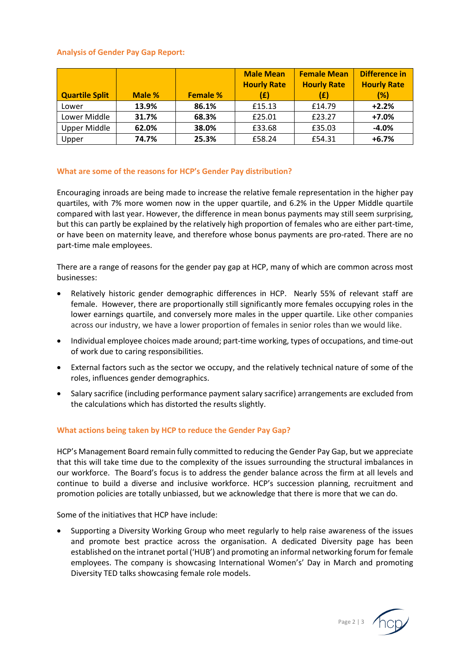# **Analysis of Gender Pay Gap Report:**

| <b>Quartile Split</b> | Male % | <b>Female %</b> | <b>Male Mean</b><br><b>Hourly Rate</b><br>(£) | <b>Female Mean</b><br><b>Hourly Rate</b><br>(£) | Difference in<br><b>Hourly Rate</b><br>(%) |
|-----------------------|--------|-----------------|-----------------------------------------------|-------------------------------------------------|--------------------------------------------|
| Lower                 | 13.9%  | 86.1%           | £15.13                                        | £14.79                                          | $+2.2%$                                    |
| Lower Middle          | 31.7%  | 68.3%           | £25.01                                        | £23.27                                          | $+7.0%$                                    |
| Upper Middle          | 62.0%  | 38.0%           | £33.68                                        | £35.03                                          | $-4.0%$                                    |
| Upper                 | 74.7%  | 25.3%           | £58.24                                        | £54.31                                          | $+6.7%$                                    |

## **What are some of the reasons for HCP's Gender Pay distribution?**

Encouraging inroads are being made to increase the relative female representation in the higher pay quartiles, with 7% more women now in the upper quartile, and 6.2% in the Upper Middle quartile compared with last year. However, the difference in mean bonus payments may still seem surprising, but this can partly be explained by the relatively high proportion of females who are either part-time, or have been on maternity leave, and therefore whose bonus payments are pro-rated. There are no part-time male employees.

There are a range of reasons for the gender pay gap at HCP, many of which are common across most businesses:

- Relatively historic gender demographic differences in HCP. Nearly 55% of relevant staff are female. However, there are proportionally still significantly more females occupying roles in the lower earnings quartile, and conversely more males in the upper quartile. Like other companies across our industry, we have a lower proportion of females in senior roles than we would like.
- Individual employee choices made around; part-time working, types of occupations, and time-out of work due to caring responsibilities.
- External factors such as the sector we occupy, and the relatively technical nature of some of the roles, influences gender demographics.
- Salary sacrifice (including performance payment salary sacrifice) arrangements are excluded from the calculations which has distorted the results slightly.

## **What actions being taken by HCP to reduce the Gender Pay Gap?**

HCP's Management Board remain fully committed to reducing the Gender Pay Gap, but we appreciate that this will take time due to the complexity of the issues surrounding the structural imbalances in our workforce. The Board's focus is to address the gender balance across the firm at all levels and continue to build a diverse and inclusive workforce. HCP's succession planning, recruitment and promotion policies are totally unbiassed, but we acknowledge that there is more that we can do.

Some of the initiatives that HCP have include:

• Supporting a Diversity Working Group who meet regularly to help raise awareness of the issues and promote best practice across the organisation. A dedicated Diversity page has been established on the intranet portal ('HUB') and promoting an informal networking forum for female employees. The company is showcasing International Women's' Day in March and promoting Diversity TED talks showcasing female role models.